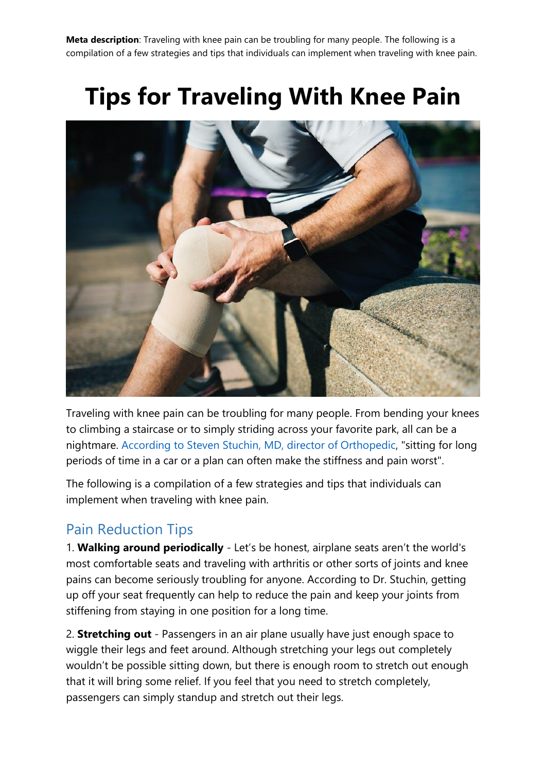**Meta description**: Traveling with knee pain can be troubling for many people. The following is a compilation of a few strategies and tips that individuals can implement when traveling with knee pain.

## **Tips for Traveling With Knee Pain**



Traveling with knee pain can be troubling for many people. From bending your knees to climbing a staircase or to simply striding across your favorite park, all can be a nightmare. [According to Steven Stuchin, MD, director of Orthopedic,](https://www.everydayhealth.com/knee-pain/traveling-with-knee-pain.aspx) "sitting for long periods of time in a car or a plan can often make the stiffness and pain worst".

The following is a compilation of a few strategies and tips that individuals can implement when traveling with knee pain.

## Pain Reduction Tips

1. **Walking around periodically** - Let's be honest, airplane seats aren't the world's most comfortable seats and traveling with arthritis or other sorts of joints and knee pains can become seriously troubling for anyone. According to Dr. Stuchin, getting up off your seat frequently can help to reduce the pain and keep your joints from stiffening from staying in one position for a long time.

2. **Stretching out** - Passengers in an air plane usually have just enough space to wiggle their legs and feet around. Although stretching your legs out completely wouldn't be possible sitting down, but there is enough room to stretch out enough that it will bring some relief. If you feel that you need to stretch completely, passengers can simply standup and stretch out their legs.